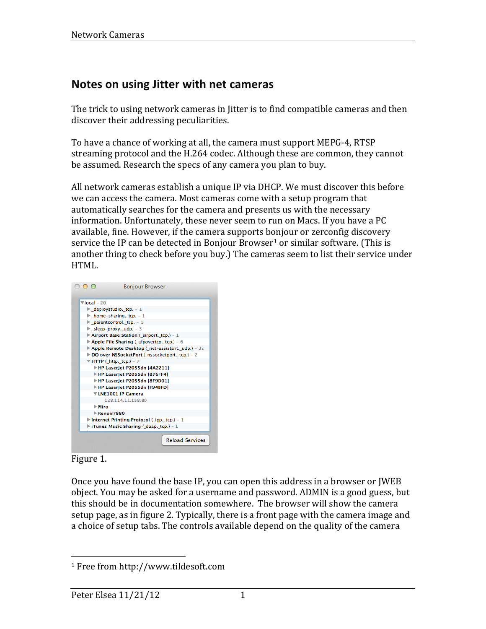## **Notes on using Jitter with net cameras**

The trick to using network cameras in Jitter is to find compatible cameras and then discover their addressing peculiarities.

To have a chance of working at all, the camera must support MEPG-4, RTSP streaming protocol and the H.264 codec. Although these are common, they cannot be assumed. Research the specs of any camera you plan to buy.

All network cameras establish a unique IP via DHCP. We must discover this before we can access the camera. Most cameras come with a setup program that automatically searches for the camera and presents us with the necessary information. Unfortunately, these never seem to run on Macs. If you have a PC available, fine. However, if the camera supports bonjour or zerconfig discovery service the IP can be detected in Bonjour Browser<sup>1</sup> or similar software. (This is another thing to check before you buy.) The cameras seem to list their service under HTML.





Once you have found the base IP, you can open this address in a browser or JWEB object. You may be asked for a username and password. ADMIN is a good guess, but this should be in documentation somewhere. The browser will show the camera setup page, as in figure 2. Typically, there is a front page with the camera image and a choice of setup tabs. The controls available depend on the quality of the camera

  $1$  Free from http://www.tildesoft.com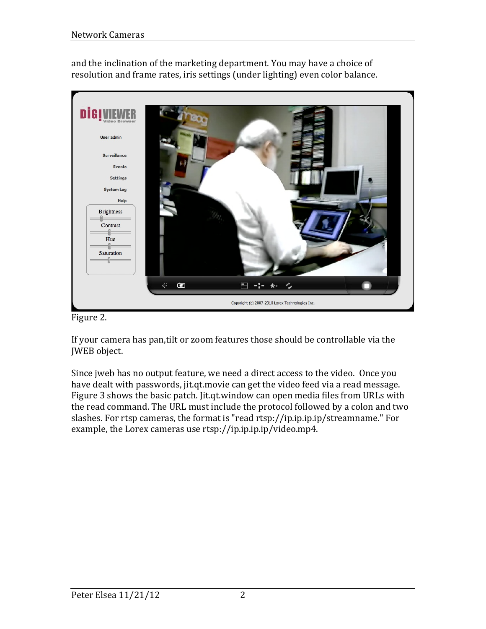and the inclination of the marketing department. You may have a choice of resolution and frame rates, iris settings (under lighting) even color balance.



Figure 2.

If your camera has pan, tilt or zoom features those should be controllable via the JWEB object.

Since jweb has no output feature, we need a direct access to the video. Once you have dealt with passwords, jit.qt.movie can get the video feed via a read message. Figure 3 shows the basic patch. Jit.qt.window can open media files from URLs with the read command. The URL must include the protocol followed by a colon and two slashes. For rtsp cameras, the format is "read rtsp://ip.ip.ip.ip/streamname." For example, the Lorex cameras use rtsp://ip.ip.ip.ip/video.mp4.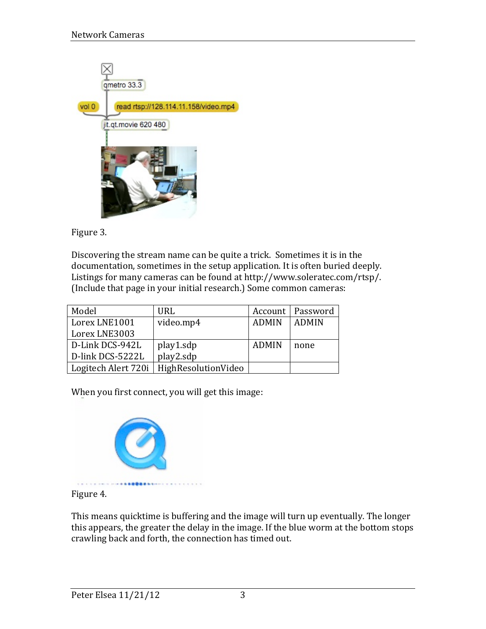

Figure 3.

Discovering the stream name can be quite a trick. Sometimes it is in the documentation, sometimes in the setup application. It is often buried deeply. Listings for many cameras can be found at http://www.soleratec.com/rtsp/. (Include that page in your initial research.) Some common cameras:

| Model               | URL                 |              | Account   Password |
|---------------------|---------------------|--------------|--------------------|
| Lorex LNE1001       | video.mp4           | <b>ADMIN</b> | <b>ADMIN</b>       |
| Lorex LNE3003       |                     |              |                    |
| D-Link DCS-942L     | play1.sdp           | <b>ADMIN</b> | none               |
| D-link DCS-5222L    | play2.sdp           |              |                    |
| Logitech Alert 720i | HighResolutionVideo |              |                    |

When you first connect, you will get this image:



Figure 4.

This means quicktime is buffering and the image will turn up eventually. The longer this appears, the greater the delay in the image. If the blue worm at the bottom stops crawling back and forth, the connection has timed out.